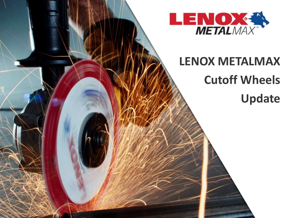

# **LENOX METALMAX Cutoff Wheels Update**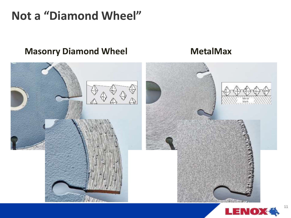### **Not a "Diamond Wheel"**

### **Masonry Diamond Wheel MetalMax**



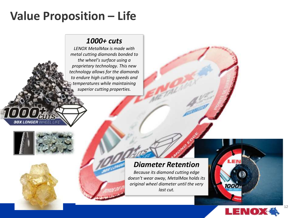## **Value Proposition – Life**

#### *1000+ cuts*

*LENOX MetalMax is made with metal cutting diamonds bonded to the wheel's surface using a proprietary technology. This new technology allows for the diamonds to endure high cutting speeds and temperatures while maintaining superior cutting properties.*

#### *Diameter Retention*

*Because its diamond cutting edge doesn't wear away, MetalMax holds its original wheel diameter until the very last cut.*



1000a

 $12$ 



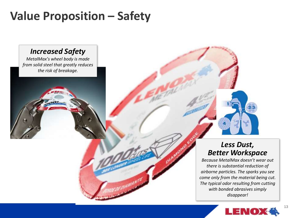## **Value Proposition – Safety**

#### *Increased Safety*

*MetalMax's wheel body is made from solid steel that greatly reduces the risk of breakage.*

#### *Less Dust, Better Workspace*

*Because MetalMax doesn't wear out there is substantial reduction of airborne particles. The sparks you see come only from the material being cut. The typical odor resulting from cutting with bonded abrasives simply disappear!*

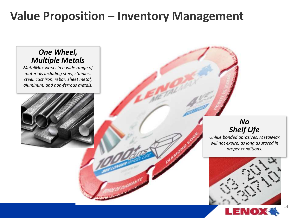### **Value Proposition – Inventory Management**

#### *One Wheel, Multiple Metals*

*MetalMax works in a wide range of materials including steel, stainless steel, cast iron, rebar, sheet metal, aluminum, and non-ferrous metals.*



#### *No Shelf Life*

*Unlike bonded abrasives, MetalMax will not expire, as long as stored in proper conditions.*



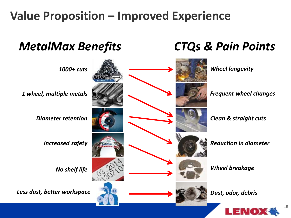## **Value Proposition – Improved Experience**

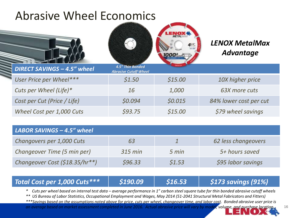### Abrasive Wheel Economics



*LENOX MetalMax Advantage*

| DIRECT SAVINGS - 4.5" wheel | 4.5" Thin Bonded<br><b>Abrasive Cutoff Wheel</b> | <b>Commercial Commercial</b> |                        |
|-----------------------------|--------------------------------------------------|------------------------------|------------------------|
| User Price per Wheel***     | \$1.50                                           | \$15.00                      | 10X higher price       |
| Cuts per Wheel (Life)*      | 16                                               | 1,000                        | 63X more cuts          |
| Cost per Cut (Price / Life) | \$0.094                                          | \$0.015                      | 84% lower cost per cut |
| Wheel Cost per 1,000 Cuts   | \$93.75                                          | \$15.00                      | \$79 wheel savings     |

| LABOR SAVINGS - 4.5" wheel     |           |        |                     |
|--------------------------------|-----------|--------|---------------------|
| Changovers per 1,000 Cuts      | 63        |        | 62 less changeovers |
| Changeover Time (5 min per)    | $315$ min | 5 min  | 5+ hours saved      |
| Changeover Cost (\$18.35/hr**) | \$96.33   | \$1.53 | \$95 labor savings  |

#### *Total Cost per 1,000 Cuts\*\*\* \$190.09 \$16.53 \$173 savings (91%)*

*\* Cuts per wheel based on internal test data – average performance in 1" carbon steel square tube for thin bonded abrasive cutoff wheels*

*\*\* US Bureau of Labor Statistics, Occupational Employment and Wages, May 2014 (51-2041 Structural Metal Fabricators and Fitters)*

*\*\*\*Savings based on the assumptions noted above for price, cuts per wheel, changeover time, and labor cost. Bonded abrasive user price is an average based on market assessment completed in June 2016. Actual abrasive price will vary by model, volume, and purchase location.*